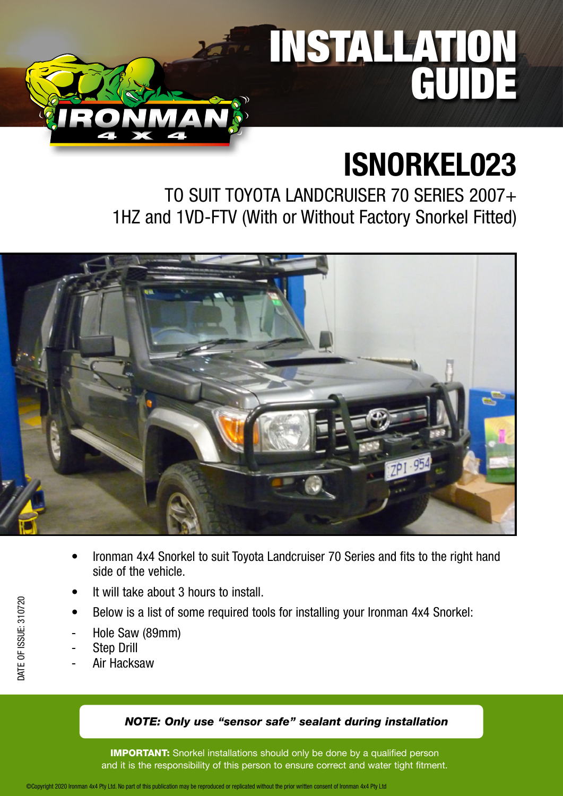# INSTALLATION GUIDE

## **ISNORKEL023**

TO SUIT TOYOTA LANDCRUISER 70 SERIES 2007+ 1HZ and 1VD-FTV (With or Without Factory Snorkel Fitted)



- Ironman 4x4 Snorkel to suit Toyota Landcruiser 70 Series and fits to the right hand side of the vehicle.
- It will take about 3 hours to install.
- Below is a list of some required tools for installing your Ironman 4x4 Snorkel:
- Hole Saw (89mm)
- **Step Drill**
- Air Hacksaw

#### *NOTE: Only use "sensor safe" sealant during installation*

**IMPORTANT:** Snorkel installations should only be done by a qualified person and it is the responsibility of this person to ensure correct and water tight fitment.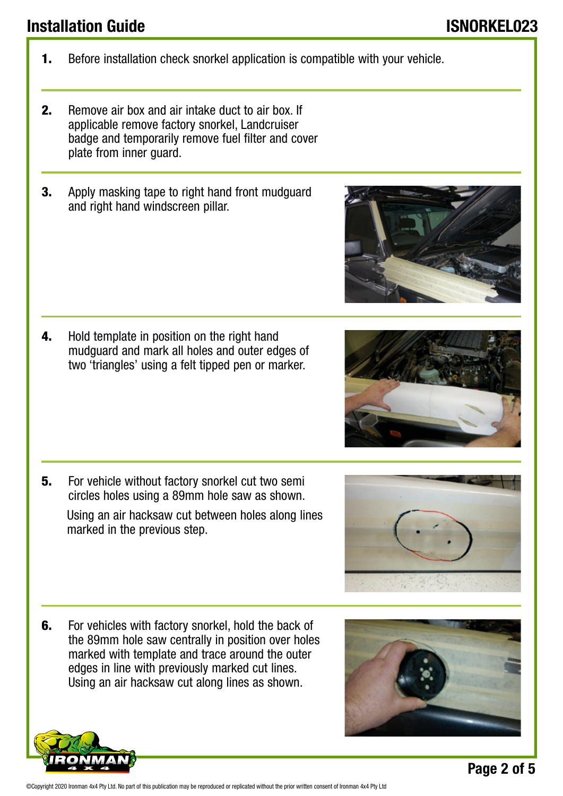©Copyright 2020 Ironman 4x4 Pty Ltd. No part of this publication may be reproduced or replicated without the prior written consent of Ironman 4x4 Pty Ltd

- 1. Before installation check snorkel application is compatible with your vehicle.
- 2. Remove air box and air intake duct to air box. If applicable remove factory snorkel, Landcruiser badge and temporarily remove fuel filter and cover plate from inner guard.
- **3.** Apply masking tape to right hand front mudguard and right hand windscreen pillar.

4. Hold template in position on the right hand mudguard and mark all holes and outer edges of two 'triangles' using a felt tipped pen or marker.

**5.** For vehicle without factory snorkel cut two semi circles holes using a 89mm hole saw as shown.

 Using an air hacksaw cut between holes along lines marked in the previous step.

**6.** For vehicles with factory snorkel, hold the back of the 89mm hole saw centrally in position over holes marked with template and trace around the outer edges in line with previously marked cut lines. Using an air hacksaw cut along lines as shown.





**Page 2 of 5**



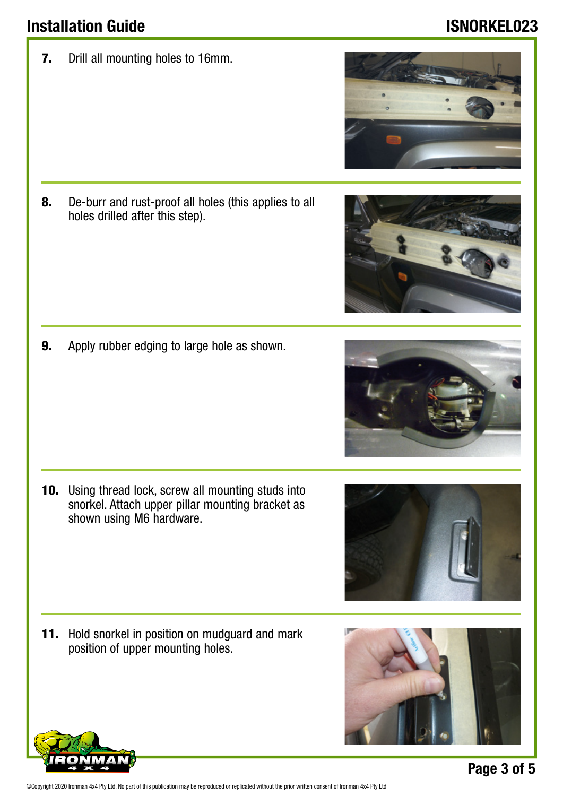7. Drill all mounting holes to 16mm.

8. De-burr and rust-proof all holes (this applies to all holes drilled after this step).

9. Apply rubber edging to large hole as shown.

10. Using thread lock, screw all mounting studs into snorkel. Attach upper pillar mounting bracket as shown using M6 hardware.

11. Hold snorkel in position on mudguard and mark position of upper mounting holes.









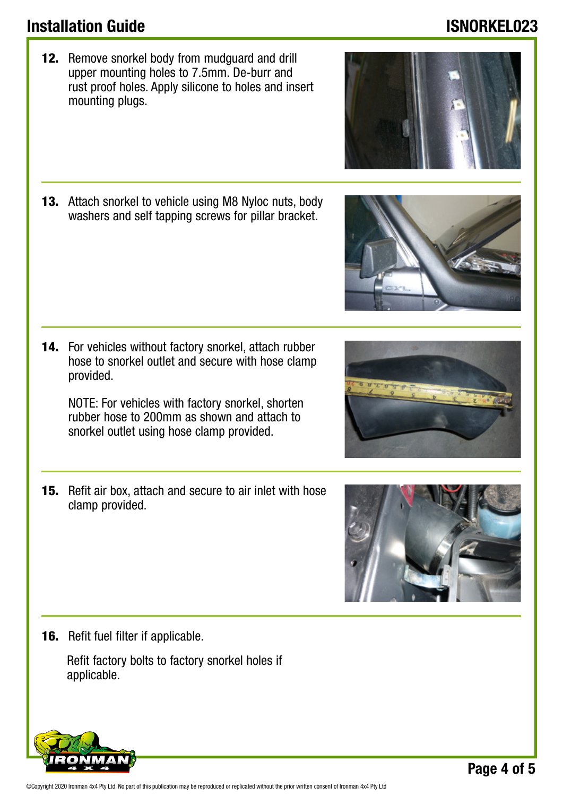©Copyright 2020 Ironman 4x4 Pty Ltd. No part of this publication may be reproduced or replicated without the prior written consent of Ironman 4x4 Pty Ltd

12. Remove snorkel body from mudguard and drill upper mounting holes to 7.5mm. De-burr and rust proof holes. Apply silicone to holes and insert mounting plugs.

13. Attach snorkel to vehicle using M8 Nyloc nuts, body washers and self tapping screws for pillar bracket.

14. For vehicles without factory snorkel, attach rubber hose to snorkel outlet and secure with hose clamp provided.

NOTE: For vehicles with factory snorkel, shorten rubber hose to 200mm as shown and attach to snorkel outlet using hose clamp provided.

15. Refit air box, attach and secure to air inlet with hose clamp provided.

**16.** Refit fuel filter if applicable.

 Refit factory bolts to factory snorkel holes if applicable.